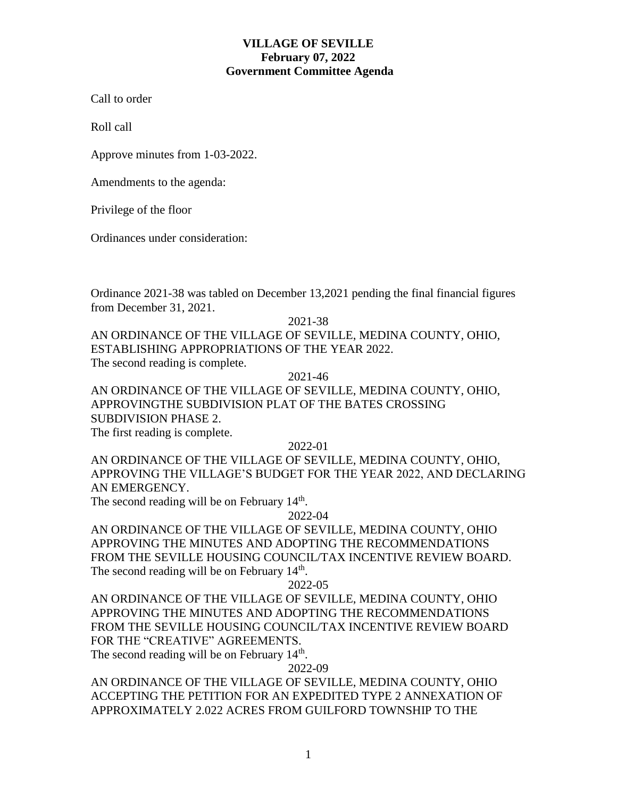# **VILLAGE OF SEVILLE February 07, 2022 Government Committee Agenda**

Call to order

Roll call

Approve minutes from 1-03-2022.

Amendments to the agenda:

Privilege of the floor

Ordinances under consideration:

Ordinance 2021-38 was tabled on December 13,2021 pending the final financial figures from December 31, 2021.

2021-38

AN ORDINANCE OF THE VILLAGE OF SEVILLE, MEDINA COUNTY, OHIO, ESTABLISHING APPROPRIATIONS OF THE YEAR 2022. The second reading is complete.

2021-46

AN ORDINANCE OF THE VILLAGE OF SEVILLE, MEDINA COUNTY, OHIO, APPROVINGTHE SUBDIVISION PLAT OF THE BATES CROSSING SUBDIVISION PHASE 2. The first reading is complete.

2022-01

AN ORDINANCE OF THE VILLAGE OF SEVILLE, MEDINA COUNTY, OHIO, APPROVING THE VILLAGE'S BUDGET FOR THE YEAR 2022, AND DECLARING AN EMERGENCY.

The second reading will be on February 14<sup>th</sup>.

2022-04

AN ORDINANCE OF THE VILLAGE OF SEVILLE, MEDINA COUNTY, OHIO APPROVING THE MINUTES AND ADOPTING THE RECOMMENDATIONS FROM THE SEVILLE HOUSING COUNCIL/TAX INCENTIVE REVIEW BOARD. The second reading will be on February 14<sup>th</sup>.

2022-05

AN ORDINANCE OF THE VILLAGE OF SEVILLE, MEDINA COUNTY, OHIO APPROVING THE MINUTES AND ADOPTING THE RECOMMENDATIONS FROM THE SEVILLE HOUSING COUNCIL/TAX INCENTIVE REVIEW BOARD FOR THE "CREATIVE" AGREEMENTS.

The second reading will be on February 14<sup>th</sup>.

2022-09

AN ORDINANCE OF THE VILLAGE OF SEVILLE, MEDINA COUNTY, OHIO ACCEPTING THE PETITION FOR AN EXPEDITED TYPE 2 ANNEXATION OF APPROXIMATELY 2.022 ACRES FROM GUILFORD TOWNSHIP TO THE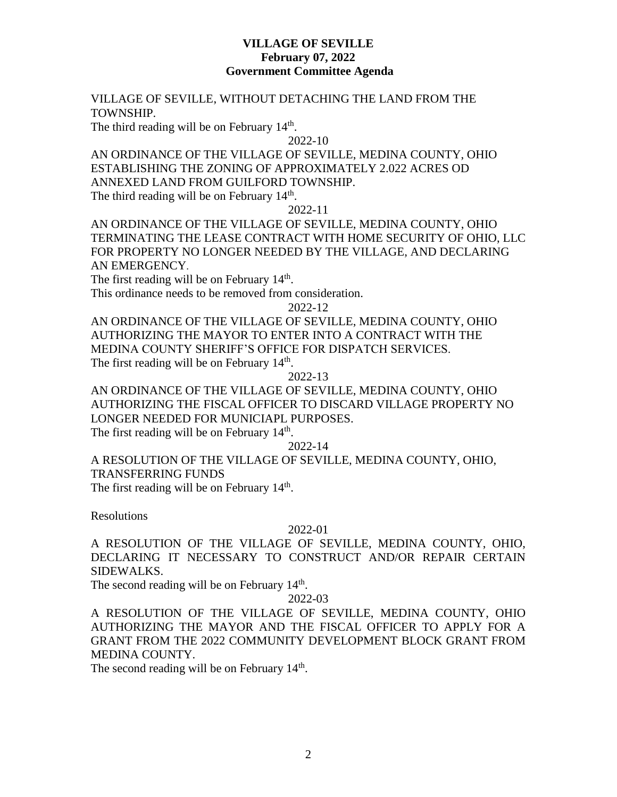## **VILLAGE OF SEVILLE February 07, 2022 Government Committee Agenda**

### VILLAGE OF SEVILLE, WITHOUT DETACHING THE LAND FROM THE TOWNSHIP.

The third reading will be on February  $14<sup>th</sup>$ .

2022-10

AN ORDINANCE OF THE VILLAGE OF SEVILLE, MEDINA COUNTY, OHIO ESTABLISHING THE ZONING OF APPROXIMATELY 2.022 ACRES OD ANNEXED LAND FROM GUILFORD TOWNSHIP. The third reading will be on February  $14<sup>th</sup>$ .

2022-11

AN ORDINANCE OF THE VILLAGE OF SEVILLE, MEDINA COUNTY, OHIO TERMINATING THE LEASE CONTRACT WITH HOME SECURITY OF OHIO, LLC FOR PROPERTY NO LONGER NEEDED BY THE VILLAGE, AND DECLARING AN EMERGENCY.

The first reading will be on February 14<sup>th</sup>. This ordinance needs to be removed from consideration.

2022-12

AN ORDINANCE OF THE VILLAGE OF SEVILLE, MEDINA COUNTY, OHIO AUTHORIZING THE MAYOR TO ENTER INTO A CONTRACT WITH THE MEDINA COUNTY SHERIFF'S OFFICE FOR DISPATCH SERVICES. The first reading will be on February 14<sup>th</sup>.

2022-13

AN ORDINANCE OF THE VILLAGE OF SEVILLE, MEDINA COUNTY, OHIO AUTHORIZING THE FISCAL OFFICER TO DISCARD VILLAGE PROPERTY NO LONGER NEEDED FOR MUNICIAPL PURPOSES. The first reading will be on February 14<sup>th</sup>.

2022-14

A RESOLUTION OF THE VILLAGE OF SEVILLE, MEDINA COUNTY, OHIO, TRANSFERRING FUNDS

The first reading will be on February  $14<sup>th</sup>$ .

Resolutions

#### 2022-01

A RESOLUTION OF THE VILLAGE OF SEVILLE, MEDINA COUNTY, OHIO, DECLARING IT NECESSARY TO CONSTRUCT AND/OR REPAIR CERTAIN SIDEWALKS.

The second reading will be on February 14<sup>th</sup>.

## 2022-03

A RESOLUTION OF THE VILLAGE OF SEVILLE, MEDINA COUNTY, OHIO AUTHORIZING THE MAYOR AND THE FISCAL OFFICER TO APPLY FOR A GRANT FROM THE 2022 COMMUNITY DEVELOPMENT BLOCK GRANT FROM MEDINA COUNTY.

The second reading will be on February 14<sup>th</sup>.